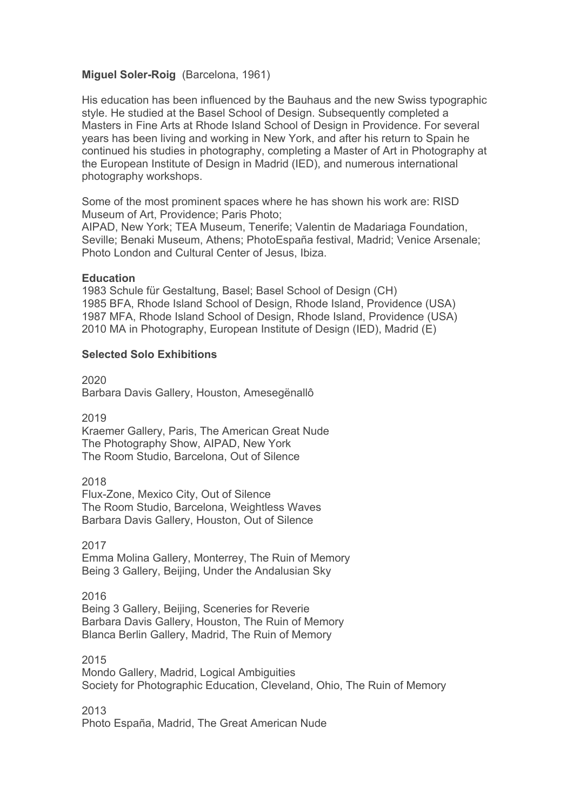# **Miguel Soler-Roig** (Barcelona, 1961)

His education has been influenced by the Bauhaus and the new Swiss typographic style. He studied at the Basel School of Design. Subsequently completed a Masters in Fine Arts at Rhode Island School of Design in Providence. For several years has been living and working in New York, and after his return to Spain he continued his studies in photography, completing a Master of Art in Photography at the European Institute of Design in Madrid (IED), and numerous international photography workshops.

Some of the most prominent spaces where he has shown his work are: RISD Museum of Art, Providence; Paris Photo;

AIPAD, New York; TEA Museum, Tenerife; Valentin de Madariaga Foundation, Seville; Benaki Museum, Athens; PhotoEspaña festival, Madrid; Venice Arsenale; Photo London and Cultural Center of Jesus, Ibiza.

### **Education**

1983 Schule für Gestaltung, Basel; Basel School of Design (CH) 1985 BFA, Rhode Island School of Design, Rhode Island, Providence (USA) 1987 MFA, Rhode Island School of Design, Rhode Island, Providence (USA) 2010 MA in Photography, European Institute of Design (IED), Madrid (E)

## **Selected Solo Exhibitions**

2020

Barbara Davis Gallery, Houston, Amesegënallô

2019

Kraemer Gallery, Paris, The American Great Nude The Photography Show, AIPAD, New York The Room Studio, Barcelona, Out of Silence

2018

Flux-Zone, Mexico City, Out of Silence The Room Studio, Barcelona, Weightless Waves Barbara Davis Gallery, Houston, Out of Silence

2017

Emma Molina Gallery, Monterrey, The Ruin of Memory Being 3 Gallery, Beijing, Under the Andalusian Sky

2016

Being 3 Gallery, Beijing, Sceneries for Reverie Barbara Davis Gallery, Houston, The Ruin of Memory Blanca Berlin Gallery, Madrid, The Ruin of Memory

2015

Mondo Gallery, Madrid, Logical Ambiguities Society for Photographic Education, Cleveland, Ohio, The Ruin of Memory

2013

Photo España, Madrid, The Great American Nude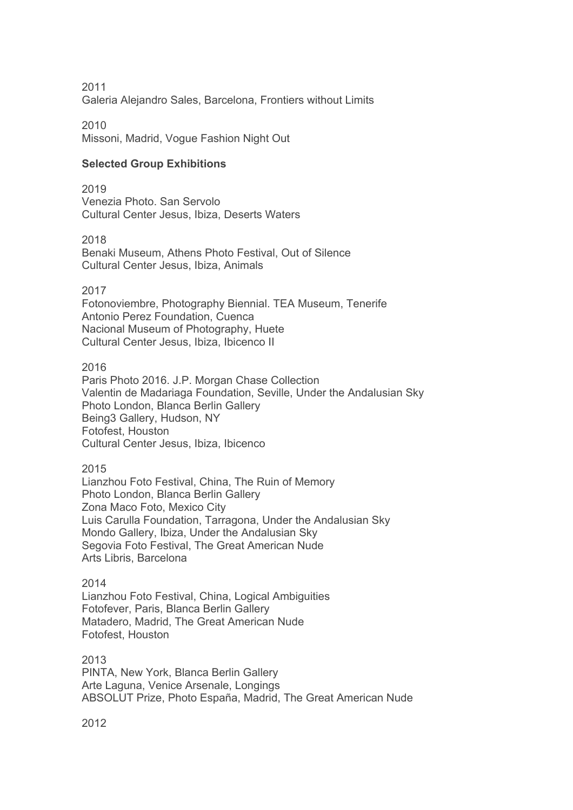2011 Galeria Alejandro Sales, Barcelona, Frontiers without Limits

2010 Missoni, Madrid, Vogue Fashion Night Out

# **Selected Group Exhibitions**

2019 Venezia Photo. San Servolo Cultural Center Jesus, Ibiza, Deserts Waters

2018

Benaki Museum, Athens Photo Festival, Out of Silence Cultural Center Jesus, Ibiza, Animals

2017

Fotonoviembre, Photography Biennial. TEA Museum, Tenerife Antonio Perez Foundation, Cuenca Nacional Museum of Photography, Huete Cultural Center Jesus, Ibiza, Ibicenco II

2016

Paris Photo 2016. J.P. Morgan Chase Collection Valentin de Madariaga Foundation, Seville, Under the Andalusian Sky Photo London, Blanca Berlin Gallery Being3 Gallery, Hudson, NY Fotofest, Houston Cultural Center Jesus, Ibiza, Ibicenco

2015

Lianzhou Foto Festival, China, The Ruin of Memory Photo London, Blanca Berlin Gallery Zona Maco Foto, Mexico City Luis Carulla Foundation, Tarragona, Under the Andalusian Sky Mondo Gallery, Ibiza, Under the Andalusian Sky Segovia Foto Festival, The Great American Nude Arts Libris, Barcelona

# 2014

Lianzhou Foto Festival, China, Logical Ambiguities Fotofever, Paris, Blanca Berlin Gallery Matadero, Madrid, The Great American Nude Fotofest, Houston

2013 PINTA, New York, Blanca Berlin Gallery Arte Laguna, Venice Arsenale, Longings ABSOLUT Prize, Photo España, Madrid, The Great American Nude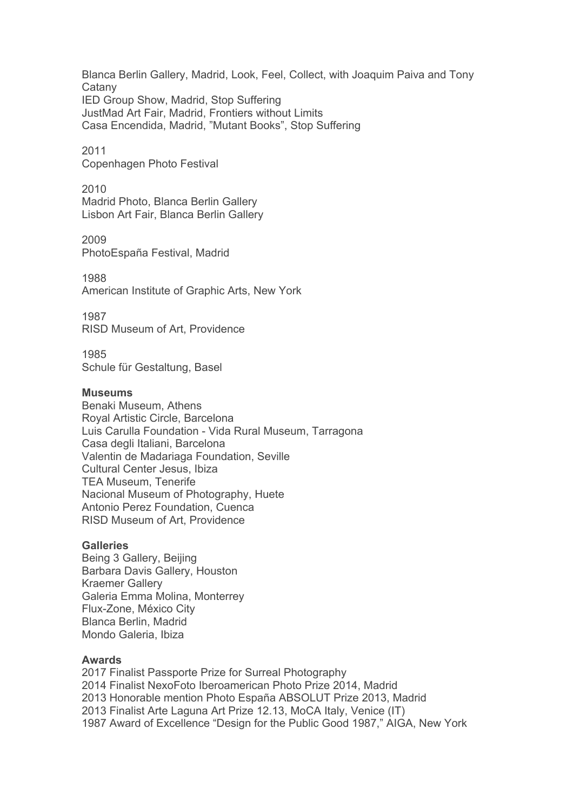Blanca Berlin Gallery, Madrid, Look, Feel, Collect, with Joaquim Paiva and Tony **Catany** IED Group Show, Madrid, Stop Suffering JustMad Art Fair, Madrid, Frontiers without Limits Casa Encendida, Madrid, "Mutant Books", Stop Suffering

2011 Copenhagen Photo Festival

2010 Madrid Photo, Blanca Berlin Gallery Lisbon Art Fair, Blanca Berlin Gallery

2009 PhotoEspaña Festival, Madrid

1988 American Institute of Graphic Arts, New York

1987 RISD Museum of Art, Providence

1985 Schule für Gestaltung, Basel

#### **Museums**

Benaki Museum, Athens Royal Artistic Circle, Barcelona Luis Carulla Foundation - Vida Rural Museum, Tarragona Casa degli Italiani, Barcelona Valentin de Madariaga Foundation, Seville Cultural Center Jesus, Ibiza TEA Museum, Tenerife Nacional Museum of Photography, Huete Antonio Perez Foundation, Cuenca RISD Museum of Art, Providence

## **Galleries**

Being 3 Gallery, Beijing Barbara Davis Gallery, Houston Kraemer Gallery Galeria Emma Molina, Monterrey Flux-Zone, México City Blanca Berlin, Madrid Mondo Galeria, Ibiza

### **Awards**

2017 Finalist Passporte Prize for Surreal Photography 2014 Finalist NexoFoto Iberoamerican Photo Prize 2014, Madrid 2013 Honorable mention Photo España ABSOLUT Prize 2013, Madrid 2013 Finalist Arte Laguna Art Prize 12.13, MoCA Italy, Venice (IT) 1987 Award of Excellence "Design for the Public Good 1987," AIGA, New York